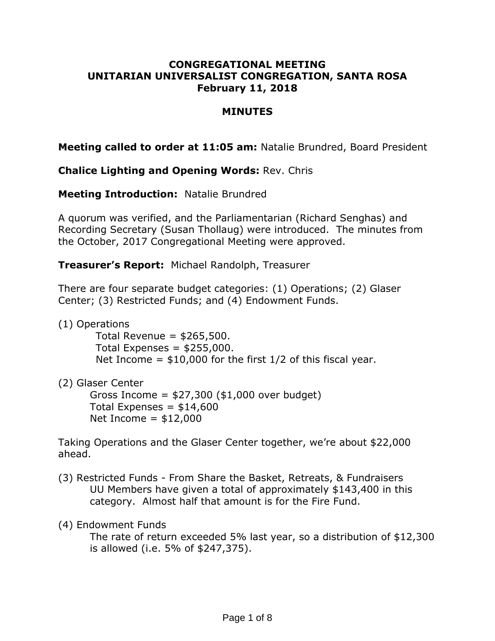### **CONGREGATIONAL MEETING UNITARIAN UNIVERSALIST CONGREGATION, SANTA ROSA February 11, 2018**

#### **MINUTES**

**Meeting called to order at 11:05 am:** Natalie Brundred, Board President

**Chalice Lighting and Opening Words:** Rev. Chris

**Meeting Introduction:** Natalie Brundred

A quorum was verified, and the Parliamentarian (Richard Senghas) and Recording Secretary (Susan Thollaug) were introduced. The minutes from the October, 2017 Congregational Meeting were approved.

**Treasurer's Report:** Michael Randolph, Treasurer

There are four separate budget categories: (1) Operations; (2) Glaser Center; (3) Restricted Funds; and (4) Endowment Funds.

(1) Operations Total Revenue =  $$265,500$ . Total Expenses =  $$255,000$ . Net Income =  $$10,000$  for the first  $1/2$  of this fiscal year.

(2) Glaser Center

Gross Income = \$27,300 (\$1,000 over budget) Total Expenses =  $$14,600$ Net Income  $=$  \$12,000

Taking Operations and the Glaser Center together, we're about \$22,000 ahead.

(3) Restricted Funds - From Share the Basket, Retreats, & Fundraisers UU Members have given a total of approximately \$143,400 in this category. Almost half that amount is for the Fire Fund.

#### (4) Endowment Funds

The rate of return exceeded 5% last year, so a distribution of \$12,300 is allowed (i.e. 5% of \$247,375).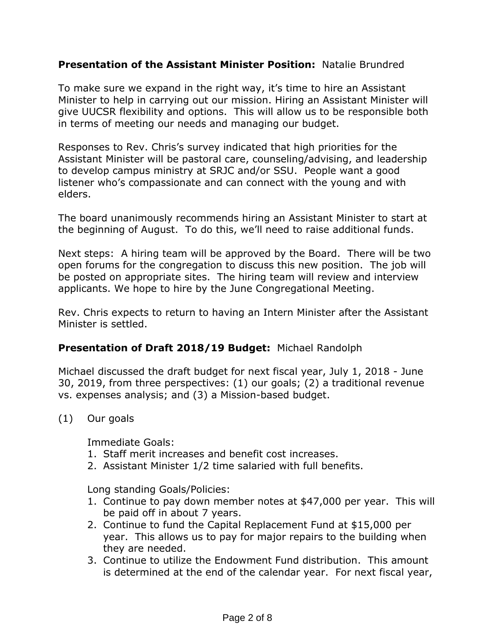## **Presentation of the Assistant Minister Position:** Natalie Brundred

To make sure we expand in the right way, it's time to hire an Assistant Minister to help in carrying out our mission. Hiring an Assistant Minister will give UUCSR flexibility and options. This will allow us to be responsible both in terms of meeting our needs and managing our budget.

Responses to Rev. Chris's survey indicated that high priorities for the Assistant Minister will be pastoral care, counseling/advising, and leadership to develop campus ministry at SRJC and/or SSU. People want a good listener who's compassionate and can connect with the young and with elders.

The board unanimously recommends hiring an Assistant Minister to start at the beginning of August. To do this, we'll need to raise additional funds.

Next steps: A hiring team will be approved by the Board. There will be two open forums for the congregation to discuss this new position. The job will be posted on appropriate sites. The hiring team will review and interview applicants. We hope to hire by the June Congregational Meeting.

Rev. Chris expects to return to having an Intern Minister after the Assistant Minister is settled.

### **Presentation of Draft 2018/19 Budget:** Michael Randolph

Michael discussed the draft budget for next fiscal year, July 1, 2018 - June 30, 2019, from three perspectives: (1) our goals; (2) a traditional revenue vs. expenses analysis; and (3) a Mission-based budget.

(1) Our goals

Immediate Goals:

- 1. Staff merit increases and benefit cost increases.
- 2. Assistant Minister 1/2 time salaried with full benefits.

Long standing Goals/Policies:

- 1. Continue to pay down member notes at \$47,000 per year. This will be paid off in about 7 years.
- 2. Continue to fund the Capital Replacement Fund at \$15,000 per year. This allows us to pay for major repairs to the building when they are needed.
- 3. Continue to utilize the Endowment Fund distribution. This amount is determined at the end of the calendar year. For next fiscal year,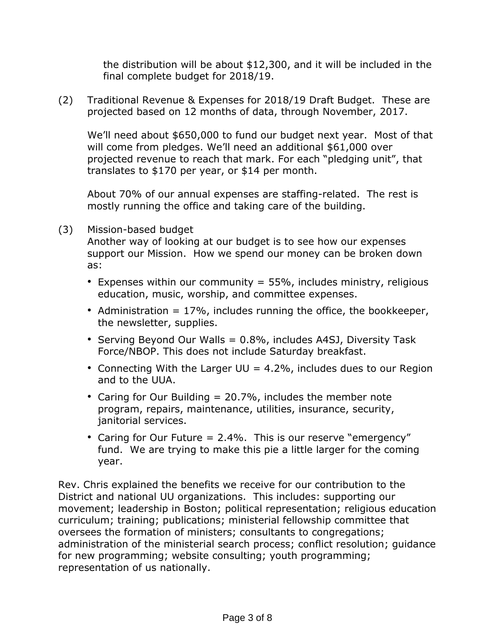the distribution will be about \$12,300, and it will be included in the final complete budget for 2018/19.

(2) Traditional Revenue & Expenses for 2018/19 Draft Budget. These are projected based on 12 months of data, through November, 2017.

We'll need about \$650,000 to fund our budget next year. Most of that will come from pledges. We'll need an additional \$61,000 over projected revenue to reach that mark. For each "pledging unit", that translates to \$170 per year, or \$14 per month.

About 70% of our annual expenses are staffing-related. The rest is mostly running the office and taking care of the building.

(3) Mission-based budget

Another way of looking at our budget is to see how our expenses support our Mission. How we spend our money can be broken down as:

- Expenses within our community  $=$  55%, includes ministry, religious education, music, worship, and committee expenses.
- Administration  $= 17\%$ , includes running the office, the bookkeeper, the newsletter, supplies.
- Serving Beyond Our Walls = 0.8%, includes A4SJ, Diversity Task Force/NBOP. This does not include Saturday breakfast.
- Connecting With the Larger  $UU = 4.2\%$ , includes dues to our Region and to the UUA.
- Caring for Our Building = 20.7%, includes the member note program, repairs, maintenance, utilities, insurance, security, janitorial services.
- Caring for Our Future = 2.4%. This is our reserve "emergency" fund. We are trying to make this pie a little larger for the coming year.

Rev. Chris explained the benefits we receive for our contribution to the District and national UU organizations. This includes: supporting our movement; leadership in Boston; political representation; religious education curriculum; training; publications; ministerial fellowship committee that oversees the formation of ministers; consultants to congregations; administration of the ministerial search process; conflict resolution; guidance for new programming; website consulting; youth programming; representation of us nationally.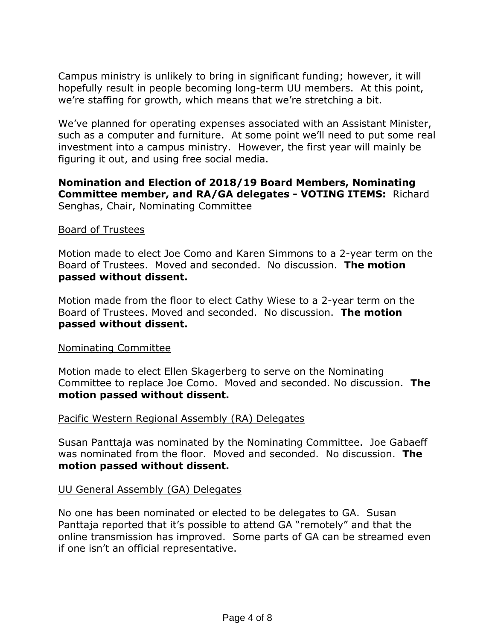Campus ministry is unlikely to bring in significant funding; however, it will hopefully result in people becoming long-term UU members. At this point, we're staffing for growth, which means that we're stretching a bit.

We've planned for operating expenses associated with an Assistant Minister, such as a computer and furniture. At some point we'll need to put some real investment into a campus ministry. However, the first year will mainly be figuring it out, and using free social media.

### **Nomination and Election of 2018/19 Board Members, Nominating Committee member, and RA/GA delegates - VOTING ITEMS:** Richard Senghas, Chair, Nominating Committee

### Board of Trustees

Motion made to elect Joe Como and Karen Simmons to a 2-year term on the Board of Trustees. Moved and seconded. No discussion. **The motion passed without dissent.**

Motion made from the floor to elect Cathy Wiese to a 2-year term on the Board of Trustees. Moved and seconded. No discussion. **The motion passed without dissent.**

#### Nominating Committee

Motion made to elect Ellen Skagerberg to serve on the Nominating Committee to replace Joe Como. Moved and seconded. No discussion. **The motion passed without dissent.**

### Pacific Western Regional Assembly (RA) Delegates

Susan Panttaja was nominated by the Nominating Committee. Joe Gabaeff was nominated from the floor. Moved and seconded. No discussion. **The motion passed without dissent.**

#### UU General Assembly (GA) Delegates

No one has been nominated or elected to be delegates to GA. Susan Panttaja reported that it's possible to attend GA "remotely" and that the online transmission has improved. Some parts of GA can be streamed even if one isn't an official representative.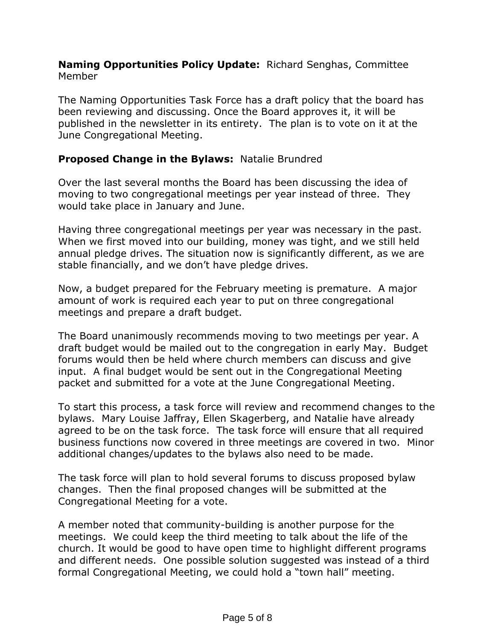## **Naming Opportunities Policy Update:** Richard Senghas, Committee Member

The Naming Opportunities Task Force has a draft policy that the board has been reviewing and discussing. Once the Board approves it, it will be published in the newsletter in its entirety. The plan is to vote on it at the June Congregational Meeting.

# **Proposed Change in the Bylaws:** Natalie Brundred

Over the last several months the Board has been discussing the idea of moving to two congregational meetings per year instead of three. They would take place in January and June.

Having three congregational meetings per year was necessary in the past. When we first moved into our building, money was tight, and we still held annual pledge drives. The situation now is significantly different, as we are stable financially, and we don't have pledge drives.

Now, a budget prepared for the February meeting is premature. A major amount of work is required each year to put on three congregational meetings and prepare a draft budget.

The Board unanimously recommends moving to two meetings per year. A draft budget would be mailed out to the congregation in early May. Budget forums would then be held where church members can discuss and give input. A final budget would be sent out in the Congregational Meeting packet and submitted for a vote at the June Congregational Meeting.

To start this process, a task force will review and recommend changes to the bylaws. Mary Louise Jaffray, Ellen Skagerberg, and Natalie have already agreed to be on the task force. The task force will ensure that all required business functions now covered in three meetings are covered in two. Minor additional changes/updates to the bylaws also need to be made.

The task force will plan to hold several forums to discuss proposed bylaw changes. Then the final proposed changes will be submitted at the Congregational Meeting for a vote.

A member noted that community-building is another purpose for the meetings. We could keep the third meeting to talk about the life of the church. It would be good to have open time to highlight different programs and different needs. One possible solution suggested was instead of a third formal Congregational Meeting, we could hold a "town hall" meeting.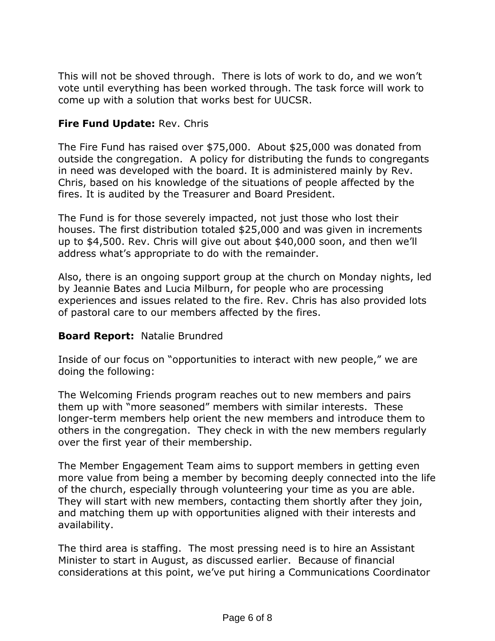This will not be shoved through. There is lots of work to do, and we won't vote until everything has been worked through. The task force will work to come up with a solution that works best for UUCSR.

# **Fire Fund Update:** Rev. Chris

The Fire Fund has raised over \$75,000. About \$25,000 was donated from outside the congregation. A policy for distributing the funds to congregants in need was developed with the board. It is administered mainly by Rev. Chris, based on his knowledge of the situations of people affected by the fires. It is audited by the Treasurer and Board President.

The Fund is for those severely impacted, not just those who lost their houses. The first distribution totaled \$25,000 and was given in increments up to \$4,500. Rev. Chris will give out about \$40,000 soon, and then we'll address what's appropriate to do with the remainder.

Also, there is an ongoing support group at the church on Monday nights, led by Jeannie Bates and Lucia Milburn, for people who are processing experiences and issues related to the fire. Rev. Chris has also provided lots of pastoral care to our members affected by the fires.

### **Board Report:** Natalie Brundred

Inside of our focus on "opportunities to interact with new people," we are doing the following:

The Welcoming Friends program reaches out to new members and pairs them up with "more seasoned" members with similar interests. These longer-term members help orient the new members and introduce them to others in the congregation. They check in with the new members regularly over the first year of their membership.

The Member Engagement Team aims to support members in getting even more value from being a member by becoming deeply connected into the life of the church, especially through volunteering your time as you are able. They will start with new members, contacting them shortly after they join, and matching them up with opportunities aligned with their interests and availability.

The third area is staffing. The most pressing need is to hire an Assistant Minister to start in August, as discussed earlier. Because of financial considerations at this point, we've put hiring a Communications Coordinator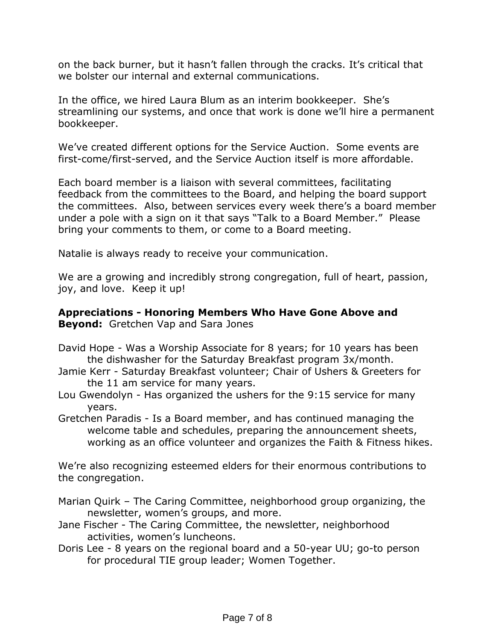on the back burner, but it hasn't fallen through the cracks. It's critical that we bolster our internal and external communications.

In the office, we hired Laura Blum as an interim bookkeeper. She's streamlining our systems, and once that work is done we'll hire a permanent bookkeeper.

We've created different options for the Service Auction. Some events are first-come/first-served, and the Service Auction itself is more affordable.

Each board member is a liaison with several committees, facilitating feedback from the committees to the Board, and helping the board support the committees. Also, between services every week there's a board member under a pole with a sign on it that says "Talk to a Board Member." Please bring your comments to them, or come to a Board meeting.

Natalie is always ready to receive your communication.

We are a growing and incredibly strong congregation, full of heart, passion, joy, and love. Keep it up!

## **Appreciations - Honoring Members Who Have Gone Above and Beyond:** Gretchen Vap and Sara Jones

- David Hope Was a Worship Associate for 8 years; for 10 years has been the dishwasher for the Saturday Breakfast program 3x/month.
- Jamie Kerr Saturday Breakfast volunteer; Chair of Ushers & Greeters for the 11 am service for many years.
- Lou Gwendolyn Has organized the ushers for the 9:15 service for many years.
- Gretchen Paradis Is a Board member, and has continued managing the welcome table and schedules, preparing the announcement sheets, working as an office volunteer and organizes the Faith & Fitness hikes.

We're also recognizing esteemed elders for their enormous contributions to the congregation.

Marian Quirk – The Caring Committee, neighborhood group organizing, the newsletter, women's groups, and more.

- Jane Fischer The Caring Committee, the newsletter, neighborhood activities, women's luncheons.
- Doris Lee 8 years on the regional board and a 50-year UU; go-to person for procedural TIE group leader; Women Together.